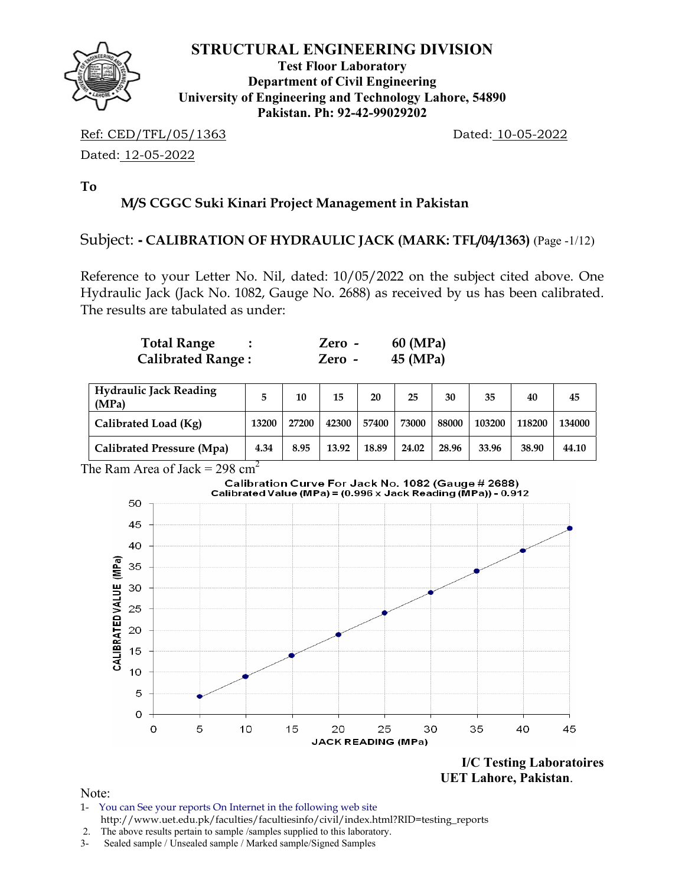

**Test Floor Laboratory Department of Civil Engineering University of Engineering and Technology Lahore, 54890 Pakistan. Ph: 92-42-99029202** 

Ref: CED/TFL/05/1363 Dated: 10-05-2022

Dated: 12-05-2022

**To** 

## **M/S CGGC Suki Kinari Project Management in Pakistan**

#### Subject: **- CALIBRATION OF HYDRAULIC JACK (MARK: TFL/04/1363)** (Page -1/12)

Reference to your Letter No. Nil, dated: 10/05/2022 on the subject cited above. One Hydraulic Jack (Jack No. 1082, Gauge No. 2688) as received by us has been calibrated. The results are tabulated as under:

| <b>Total Range</b>       | Zero - | 60 (MPa) |
|--------------------------|--------|----------|
| <b>Calibrated Range:</b> | Zero - | 45 (MPa) |

| <b>Hydraulic Jack Reading</b><br>(MPa) |       | 10    | 15    | 20    | 25    | 30    | 35     | 40     | 45     |
|----------------------------------------|-------|-------|-------|-------|-------|-------|--------|--------|--------|
| Calibrated Load (Kg)                   | 13200 | 27200 | 42300 | 57400 | 73000 | 88000 | 103200 | 118200 | 134000 |
| Calibrated Pressure (Mpa)              | 4.34  | 8.95  | 13.92 | 18.89 | 24.02 | 28.96 | 33.96  | 38.90  | 44.10  |

The Ram Area of Jack =  $298 \text{ cm}^2$ 



 **UET Lahore, Pakistan**.

- 1- You can See your reports On Internet in the following web site http://www.uet.edu.pk/faculties/facultiesinfo/civil/index.html?RID=testing\_reports
- 2. The above results pertain to sample /samples supplied to this laboratory.
- 3- Sealed sample / Unsealed sample / Marked sample/Signed Samples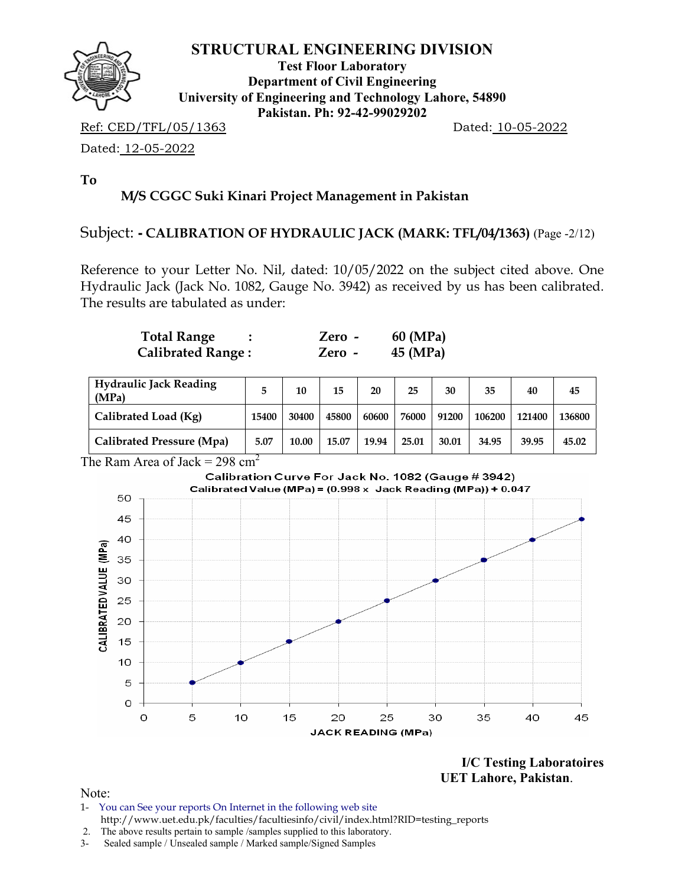

**Test Floor Laboratory Department of Civil Engineering University of Engineering and Technology Lahore, 54890 Pakistan. Ph: 92-42-99029202** 

Ref: CED/TFL/05/1363 Dated: 10-05-2022

Dated: 12-05-2022

**To** 

# **M/S CGGC Suki Kinari Project Management in Pakistan**

#### Subject: **- CALIBRATION OF HYDRAULIC JACK (MARK: TFL/04/1363)** (Page -2/12)

Reference to your Letter No. Nil, dated: 10/05/2022 on the subject cited above. One Hydraulic Jack (Jack No. 1082, Gauge No. 3942) as received by us has been calibrated. The results are tabulated as under:

| <b>Total Range</b>       | Zero -   | 60 (MPa) |
|--------------------------|----------|----------|
| <b>Calibrated Range:</b> | $Zero -$ | 45 (MPa) |

| <b>Hydraulic Jack Reading</b><br>(MPa) |       | 10    | 15    | 20    | 25    | 30    | 35     | 40     | 45     |
|----------------------------------------|-------|-------|-------|-------|-------|-------|--------|--------|--------|
| Calibrated Load (Kg)                   | 15400 | 30400 | 45800 | 60600 | 76000 | 91200 | 106200 | 121400 | 136800 |
| Calibrated Pressure (Mpa)              | 5.07  | 10.00 | 15.07 | 19.94 | 25.01 | 30.01 | 34.95  | 39.95  | 45.02  |

#### The Ram Area of Jack =  $298 \text{ cm}^2$



**I/C Testing Laboratoires UET Lahore, Pakistan**.

- 1- You can See your reports On Internet in the following web site http://www.uet.edu.pk/faculties/facultiesinfo/civil/index.html?RID=testing\_reports
- 2. The above results pertain to sample /samples supplied to this laboratory.
- 3- Sealed sample / Unsealed sample / Marked sample/Signed Samples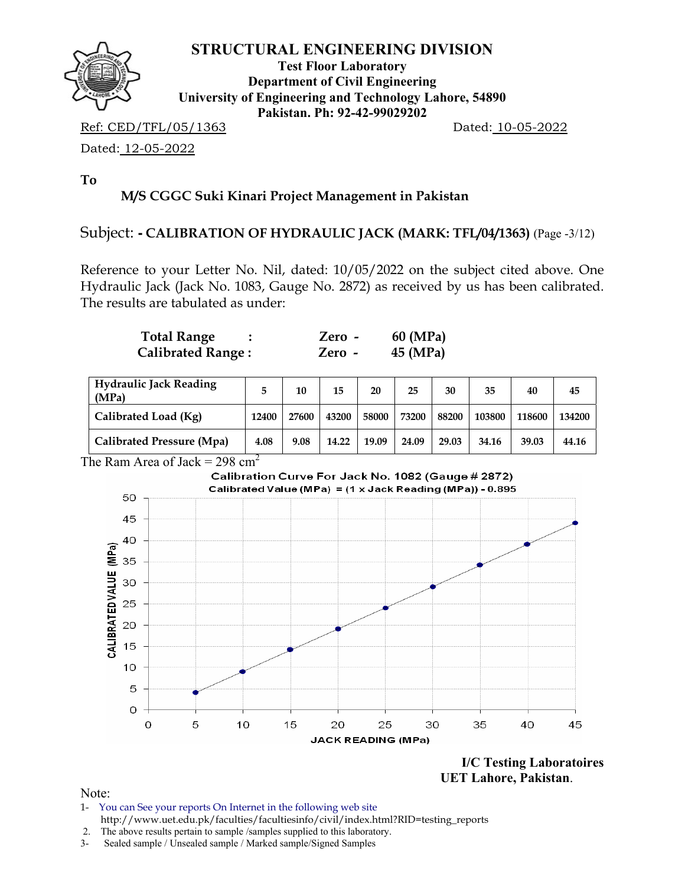

**Test Floor Laboratory Department of Civil Engineering University of Engineering and Technology Lahore, 54890 Pakistan. Ph: 92-42-99029202** 

Ref: CED/TFL/05/1363 Dated: 10-05-2022

Dated: 12-05-2022

**To** 

# **M/S CGGC Suki Kinari Project Management in Pakistan**

#### Subject: **- CALIBRATION OF HYDRAULIC JACK (MARK: TFL/04/1363)** (Page -3/12)

Reference to your Letter No. Nil, dated: 10/05/2022 on the subject cited above. One Hydraulic Jack (Jack No. 1083, Gauge No. 2872) as received by us has been calibrated. The results are tabulated as under:

| <b>Total Range</b>       | Zero - | 60 (MPa) |
|--------------------------|--------|----------|
| <b>Calibrated Range:</b> | Zero - | 45 (MPa) |

| <b>Hydraulic Jack Reading</b><br>(MPa) |       | 10    | 15    | 20    | 25    | 30    | 35     | 40     | 45     |
|----------------------------------------|-------|-------|-------|-------|-------|-------|--------|--------|--------|
| Calibrated Load (Kg)                   | 12400 | 27600 | 43200 | 58000 | 73200 | 88200 | 103800 | 118600 | 134200 |
| Calibrated Pressure (Mpa)              | 4.08  | 9.08  | 14.22 | 19.09 | 24.09 | 29.03 | 34.16  | 39.03  | 44.16  |

#### The Ram Area of Jack =  $298 \text{ cm}^2$



**I/C Testing Laboratoires UET Lahore, Pakistan**.

Note:

1- You can See your reports On Internet in the following web site http://www.uet.edu.pk/faculties/facultiesinfo/civil/index.html?RID=testing\_reports

 <sup>2.</sup> The above results pertain to sample /samples supplied to this laboratory.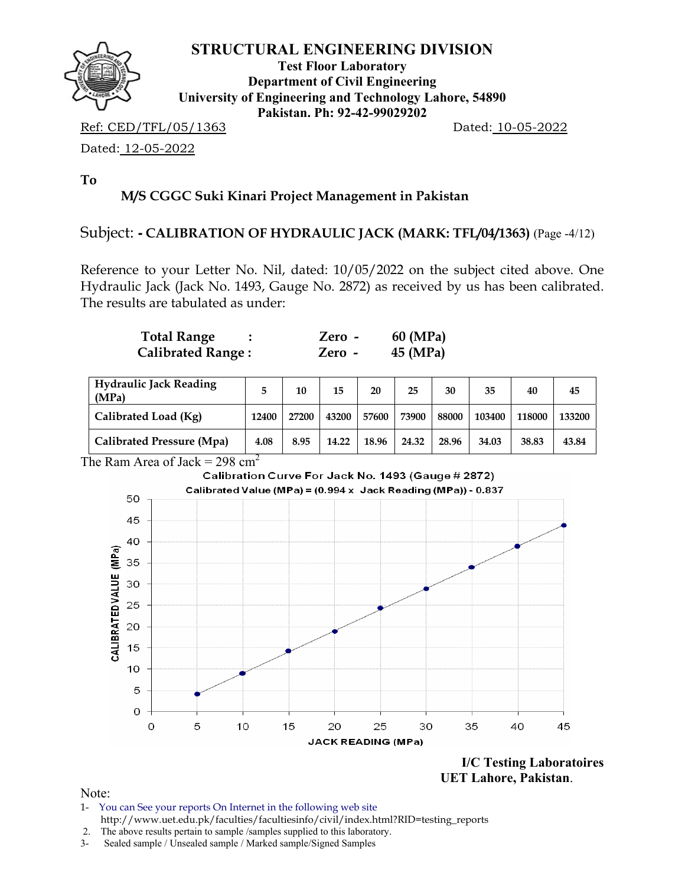

**Test Floor Laboratory Department of Civil Engineering University of Engineering and Technology Lahore, 54890 Pakistan. Ph: 92-42-99029202** 

Ref: CED/TFL/05/1363 Dated: 10-05-2022

Dated: 12-05-2022

**To** 

# **M/S CGGC Suki Kinari Project Management in Pakistan**

#### Subject: **- CALIBRATION OF HYDRAULIC JACK (MARK: TFL/04/1363)** (Page -4/12)

Reference to your Letter No. Nil, dated: 10/05/2022 on the subject cited above. One Hydraulic Jack (Jack No. 1493, Gauge No. 2872) as received by us has been calibrated. The results are tabulated as under:

| <b>Total Range</b>       | Zero - | 60 (MPa) |
|--------------------------|--------|----------|
| <b>Calibrated Range:</b> | Zero - | 45 (MPa) |

| <b>Hydraulic Jack Reading</b><br>(MPa) |       | 10    | 15    | 20    | 25    | 30    | 35     | 40     | 45     |
|----------------------------------------|-------|-------|-------|-------|-------|-------|--------|--------|--------|
| Calibrated Load (Kg)                   | 12400 | 27200 | 43200 | 57600 | 73900 | 88000 | 103400 | 118000 | 133200 |
| Calibrated Pressure (Mpa)              | 4.08  | 8.95  | 14.22 | 18.96 | 24.32 | 28.96 | 34.03  | 38.83  | 43.84  |

The Ram Area of Jack =  $298 \text{ cm}^2$ 



 **UET Lahore, Pakistan**.

- 1- You can See your reports On Internet in the following web site http://www.uet.edu.pk/faculties/facultiesinfo/civil/index.html?RID=testing\_reports
- 2. The above results pertain to sample /samples supplied to this laboratory.
- 3- Sealed sample / Unsealed sample / Marked sample/Signed Samples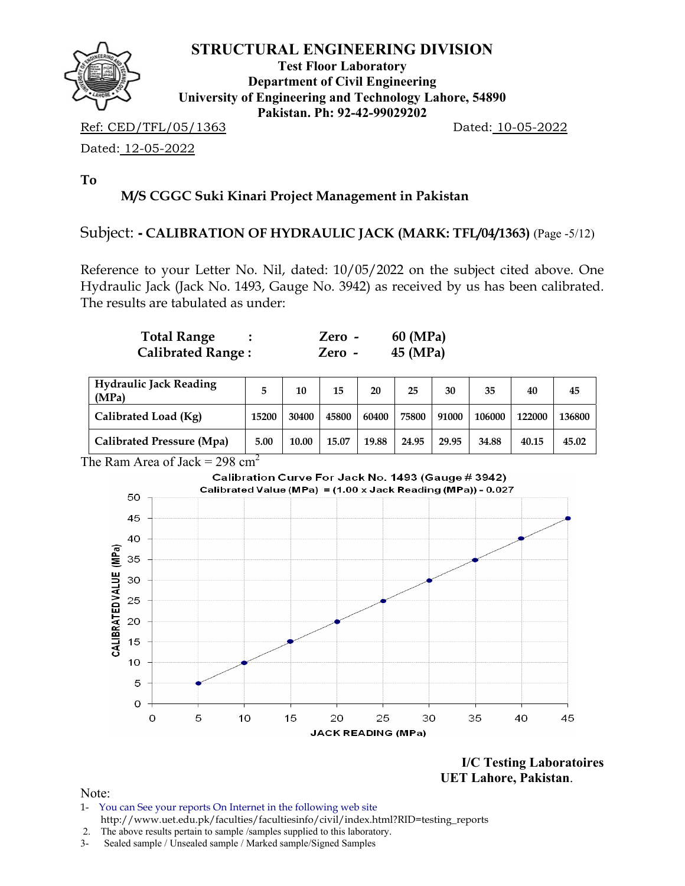

**Test Floor Laboratory Department of Civil Engineering University of Engineering and Technology Lahore, 54890 Pakistan. Ph: 92-42-99029202** 

Ref: CED/TFL/05/1363 Dated: 10-05-2022

Dated: 12-05-2022

**To** 

# **M/S CGGC Suki Kinari Project Management in Pakistan**

#### Subject: **- CALIBRATION OF HYDRAULIC JACK (MARK: TFL/04/1363)** (Page -5/12)

Reference to your Letter No. Nil, dated: 10/05/2022 on the subject cited above. One Hydraulic Jack (Jack No. 1493, Gauge No. 3942) as received by us has been calibrated. The results are tabulated as under:

| <b>Total Range</b>       | $Zero -$ | 60 (MPa) |
|--------------------------|----------|----------|
| <b>Calibrated Range:</b> | Zero -   | 45 (MPa) |

| <b>Hydraulic Jack Reading</b><br>(MPa) |       | 10    | 15    | 20    | 25    | 30    | 35     | 40     | 45     |
|----------------------------------------|-------|-------|-------|-------|-------|-------|--------|--------|--------|
| Calibrated Load (Kg)                   | 15200 | 30400 | 45800 | 60400 | 75800 | 91000 | 106000 | 122000 | 136800 |
| Calibrated Pressure (Mpa)              | 5.00  | 10.00 | 15.07 | 19.88 | 24.95 | 29.95 | 34.88  | 40.15  | 45.02  |

The Ram Area of Jack =  $298 \text{ cm}^2$ 



**I/C Testing Laboratoires UET Lahore, Pakistan**.

- 1- You can See your reports On Internet in the following web site http://www.uet.edu.pk/faculties/facultiesinfo/civil/index.html?RID=testing\_reports
- 2. The above results pertain to sample /samples supplied to this laboratory.
- 3- Sealed sample / Unsealed sample / Marked sample/Signed Samples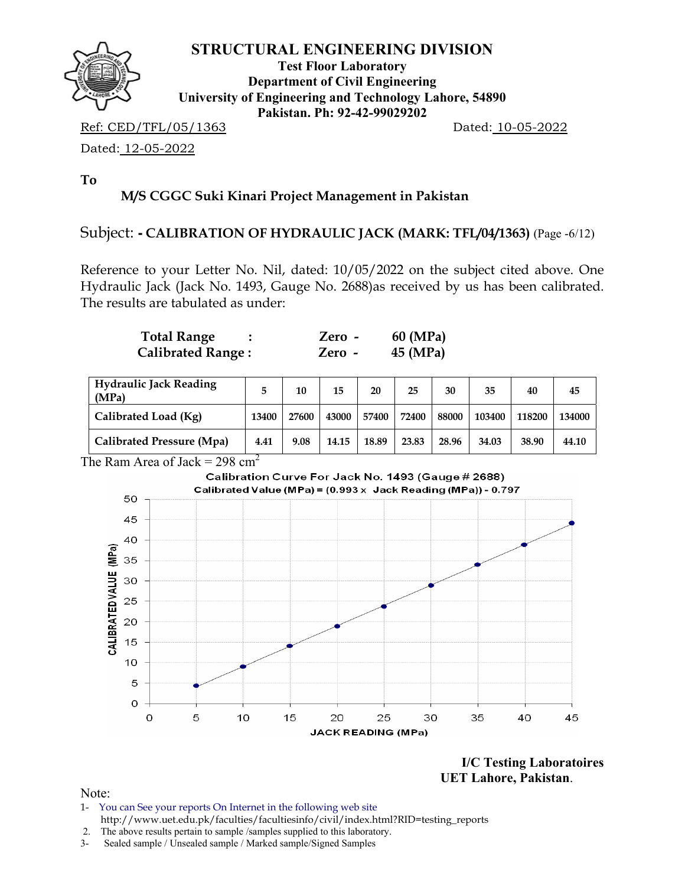

**Test Floor Laboratory Department of Civil Engineering University of Engineering and Technology Lahore, 54890 Pakistan. Ph: 92-42-99029202** 

Ref: CED/TFL/05/1363 Dated: 10-05-2022

Dated: 12-05-2022

**To** 

# **M/S CGGC Suki Kinari Project Management in Pakistan**

#### Subject: **- CALIBRATION OF HYDRAULIC JACK (MARK: TFL/04/1363)** (Page -6/12)

Reference to your Letter No. Nil, dated: 10/05/2022 on the subject cited above. One Hydraulic Jack (Jack No. 1493, Gauge No. 2688)as received by us has been calibrated. The results are tabulated as under:

| <b>Total Range</b>       | $Zero -$ | 60 (MPa) |
|--------------------------|----------|----------|
| <b>Calibrated Range:</b> | Zero -   | 45 (MPa) |

| <b>Hydraulic Jack Reading</b><br>(MPa) |       | 10    | 15    | 20    | 25    | 30    | 35     | 40     | 45     |
|----------------------------------------|-------|-------|-------|-------|-------|-------|--------|--------|--------|
| Calibrated Load (Kg)                   | 13400 | 27600 | 43000 | 57400 | 72400 | 88000 | 103400 | 118200 | 134000 |
| Calibrated Pressure (Mpa)              | 4.41  | 9.08  | 14.15 | 18.89 | 23.83 | 28.96 | 34.03  | 38.90  | 44.10  |

#### The Ram Area of Jack =  $298 \text{ cm}^2$



**I/C Testing Laboratoires UET Lahore, Pakistan**.

- 1- You can See your reports On Internet in the following web site http://www.uet.edu.pk/faculties/facultiesinfo/civil/index.html?RID=testing\_reports
- 2. The above results pertain to sample /samples supplied to this laboratory.
- 3- Sealed sample / Unsealed sample / Marked sample/Signed Samples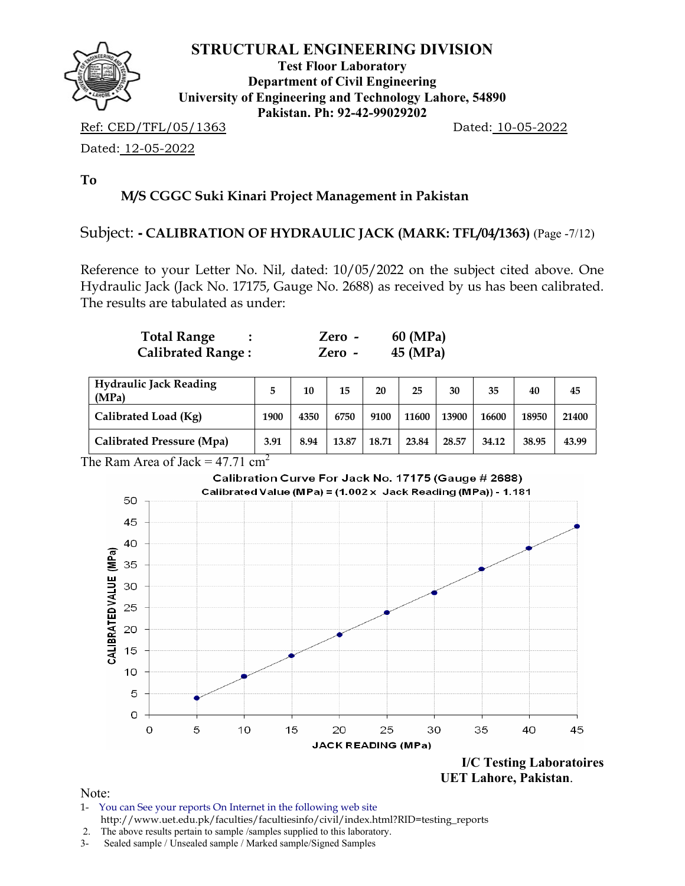

**Test Floor Laboratory Department of Civil Engineering University of Engineering and Technology Lahore, 54890 Pakistan. Ph: 92-42-99029202** 

Ref: CED/TFL/05/1363 Dated: 10-05-2022

Dated: 12-05-2022

**To** 

# **M/S CGGC Suki Kinari Project Management in Pakistan**

#### Subject: **- CALIBRATION OF HYDRAULIC JACK (MARK: TFL/04/1363)** (Page -7/12)

Reference to your Letter No. Nil, dated: 10/05/2022 on the subject cited above. One Hydraulic Jack (Jack No. 17175, Gauge No. 2688) as received by us has been calibrated. The results are tabulated as under:

| <b>Total Range</b>       | $Zero -$ | 60 (MPa) |
|--------------------------|----------|----------|
| <b>Calibrated Range:</b> | Zero -   | 45 (MPa) |

| <b>Hydraulic Jack Reading</b><br>(MPa) |      | 10   | 15    | 20    | 25    | 30    | 35    | 40    | 45    |
|----------------------------------------|------|------|-------|-------|-------|-------|-------|-------|-------|
| Calibrated Load (Kg)                   | 1900 | 4350 | 6750  | 9100  | 11600 | 13900 | 16600 | 18950 | 21400 |
| Calibrated Pressure (Mpa)              | 3.91 | 8.94 | 13.87 | 18.71 | 23.84 | 28.57 | 34.12 | 38.95 | 43.99 |

The Ram Area of Jack =  $47.71 \text{ cm}^2$ 



 **UET Lahore, Pakistan**.

Note:

1- You can See your reports On Internet in the following web site http://www.uet.edu.pk/faculties/facultiesinfo/civil/index.html?RID=testing\_reports

 <sup>2.</sup> The above results pertain to sample /samples supplied to this laboratory.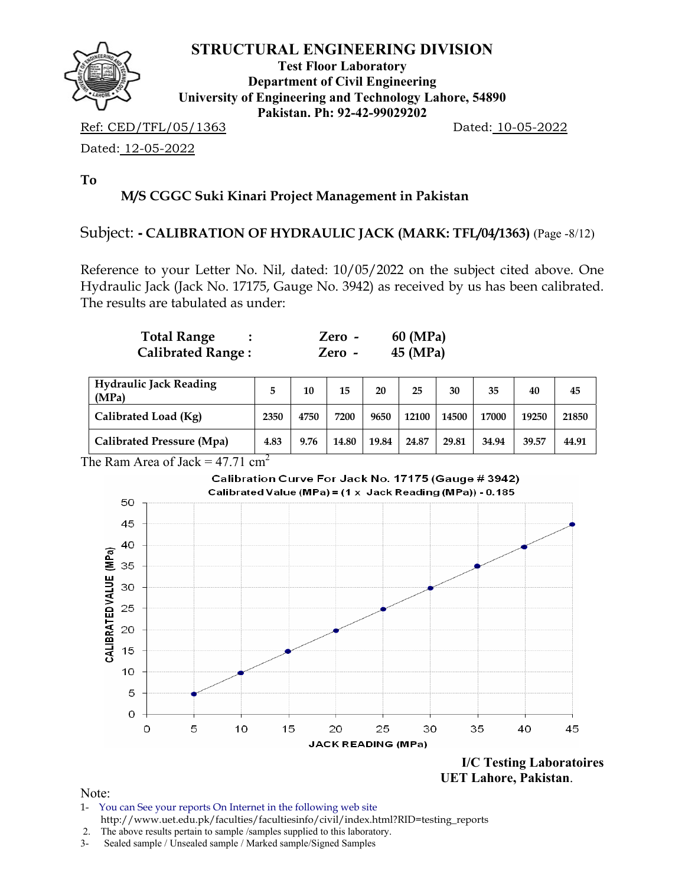

**Test Floor Laboratory Department of Civil Engineering University of Engineering and Technology Lahore, 54890 Pakistan. Ph: 92-42-99029202** 

Ref: CED/TFL/05/1363 Dated: 10-05-2022

Dated: 12-05-2022

**To** 

# **M/S CGGC Suki Kinari Project Management in Pakistan**

#### Subject: **- CALIBRATION OF HYDRAULIC JACK (MARK: TFL/04/1363)** (Page -8/12)

Reference to your Letter No. Nil, dated: 10/05/2022 on the subject cited above. One Hydraulic Jack (Jack No. 17175, Gauge No. 3942) as received by us has been calibrated. The results are tabulated as under:

| <b>Total Range</b>       | $Zero -$ | 60 (MPa) |
|--------------------------|----------|----------|
| <b>Calibrated Range:</b> | Zero -   | 45 (MPa) |

| <b>Hydraulic Jack Reading</b><br>(MPa) |      | 10   | 15    | 20    | 25    | 30    | 35    | 40    | 45    |
|----------------------------------------|------|------|-------|-------|-------|-------|-------|-------|-------|
| Calibrated Load (Kg)                   | 2350 | 4750 | 7200  | 9650  | 12100 | 14500 | 17000 | 19250 | 21850 |
| Calibrated Pressure (Mpa)              | 4.83 | 9.76 | 14.80 | 19.84 | 24.87 | 29.81 | 34.94 | 39.57 | 44.91 |

The Ram Area of Jack =  $47.71 \text{ cm}^2$ 

#### Calibration Curve For Jack No. 17175 (Gauge # 3942) Calibrated Value (MPa) = (1 x Jack Reading (MPa)) - 0.185



 **UET Lahore, Pakistan**.

Note:

1- You can See your reports On Internet in the following web site http://www.uet.edu.pk/faculties/facultiesinfo/civil/index.html?RID=testing\_reports

 <sup>2.</sup> The above results pertain to sample /samples supplied to this laboratory.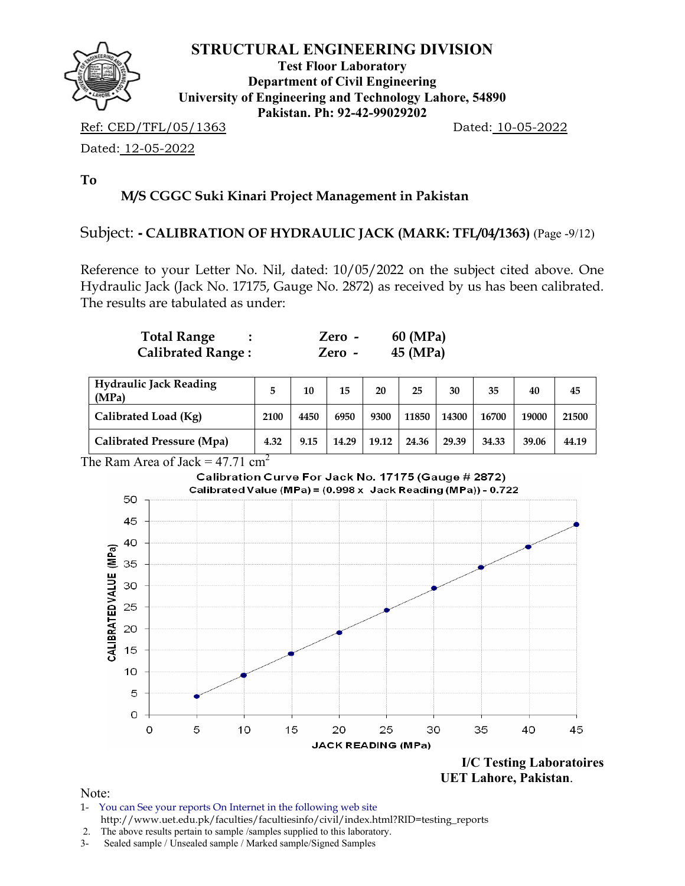

**Test Floor Laboratory Department of Civil Engineering University of Engineering and Technology Lahore, 54890 Pakistan. Ph: 92-42-99029202** 

Ref: CED/TFL/05/1363 Dated: 10-05-2022

Dated: 12-05-2022

**To** 

# **M/S CGGC Suki Kinari Project Management in Pakistan**

#### Subject: **- CALIBRATION OF HYDRAULIC JACK (MARK: TFL/04/1363)** (Page -9/12)

Reference to your Letter No. Nil, dated: 10/05/2022 on the subject cited above. One Hydraulic Jack (Jack No. 17175, Gauge No. 2872) as received by us has been calibrated. The results are tabulated as under:

| <b>Total Range</b>       | Zero - | 60 (MPa) |
|--------------------------|--------|----------|
| <b>Calibrated Range:</b> | Zero - | 45 (MPa) |

| <b>Hydraulic Jack Reading</b><br>(MPa) |      | 10   | 15    | 20    | 25    | 30    | 35    | 40    | 45    |
|----------------------------------------|------|------|-------|-------|-------|-------|-------|-------|-------|
| Calibrated Load (Kg)                   | 2100 | 4450 | 6950  | 9300  | 11850 | 14300 | 16700 | 19000 | 21500 |
| Calibrated Pressure (Mpa)              | 4.32 | 9.15 | 14.29 | 19.12 | 24.36 | 29.39 | 34.33 | 39.06 | 44.19 |

## The Ram Area of Jack =  $47.71 \text{ cm}^2$



 **UET Lahore, Pakistan**.

- 1- You can See your reports On Internet in the following web site http://www.uet.edu.pk/faculties/facultiesinfo/civil/index.html?RID=testing\_reports
- 2. The above results pertain to sample /samples supplied to this laboratory.
- 3- Sealed sample / Unsealed sample / Marked sample/Signed Samples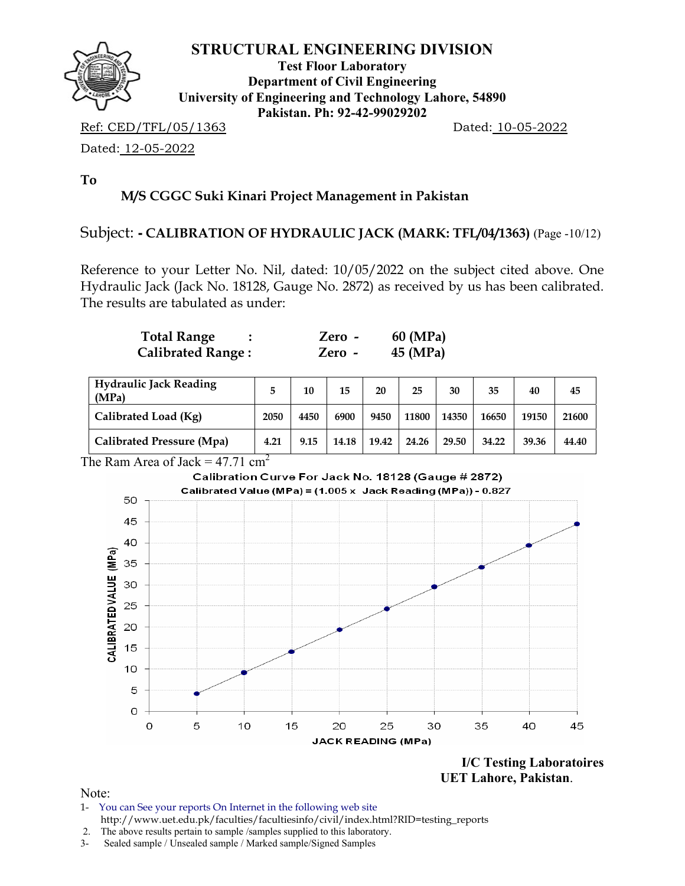

**Test Floor Laboratory Department of Civil Engineering University of Engineering and Technology Lahore, 54890 Pakistan. Ph: 92-42-99029202** 

Ref: CED/TFL/05/1363 Dated: 10-05-2022

Dated: 12-05-2022

**To** 

# **M/S CGGC Suki Kinari Project Management in Pakistan**

#### Subject: **- CALIBRATION OF HYDRAULIC JACK (MARK: TFL/04/1363)** (Page -10/12)

Reference to your Letter No. Nil, dated: 10/05/2022 on the subject cited above. One Hydraulic Jack (Jack No. 18128, Gauge No. 2872) as received by us has been calibrated. The results are tabulated as under:

| <b>Total Range</b>       | Zero - | 60 (MPa) |
|--------------------------|--------|----------|
| <b>Calibrated Range:</b> | Zero - | 45 (MPa) |

| <b>Hydraulic Jack Reading</b><br>(MPa) |      | 10   | 15    | 20    | 25    | 30    | 35    | 40    | 45    |
|----------------------------------------|------|------|-------|-------|-------|-------|-------|-------|-------|
| Calibrated Load (Kg)                   | 2050 | 4450 | 6900  | 9450  | 11800 | 14350 | 16650 | 19150 | 21600 |
| Calibrated Pressure (Mpa)              | 4.21 | 9.15 | 14.18 | 19.42 | 24.26 | 29.50 | 34.22 | 39.36 | 44.40 |

The Ram Area of Jack =  $47.71 \text{ cm}^2$ 



**I/C Testing Laboratoires UET Lahore, Pakistan**.

- 1- You can See your reports On Internet in the following web site http://www.uet.edu.pk/faculties/facultiesinfo/civil/index.html?RID=testing\_reports
- 2. The above results pertain to sample /samples supplied to this laboratory.
- 3- Sealed sample / Unsealed sample / Marked sample/Signed Samples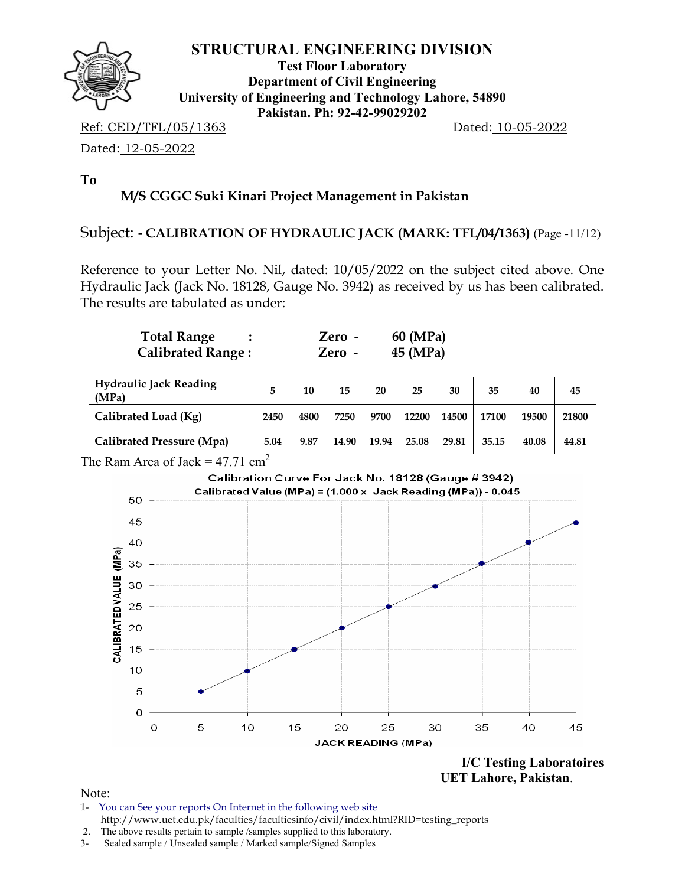

**Test Floor Laboratory Department of Civil Engineering University of Engineering and Technology Lahore, 54890 Pakistan. Ph: 92-42-99029202** 

Ref: CED/TFL/05/1363 Dated: 10-05-2022

Dated: 12-05-2022

**To** 

# **M/S CGGC Suki Kinari Project Management in Pakistan**

#### Subject: **- CALIBRATION OF HYDRAULIC JACK (MARK: TFL/04/1363)** (Page -11/12)

Reference to your Letter No. Nil, dated: 10/05/2022 on the subject cited above. One Hydraulic Jack (Jack No. 18128, Gauge No. 3942) as received by us has been calibrated. The results are tabulated as under:

| <b>Total Range</b>       | Zero - | 60 (MPa) |
|--------------------------|--------|----------|
| <b>Calibrated Range:</b> | Zero - | 45 (MPa) |

| <b>Hydraulic Jack Reading</b><br>(MPa) |      | 10   | 15    | 20    | 25    | 30    | 35    | 40    | 45    |
|----------------------------------------|------|------|-------|-------|-------|-------|-------|-------|-------|
| Calibrated Load (Kg)                   | 2450 | 4800 | 7250  | 9700  | 12200 | 14500 | 17100 | 19500 | 21800 |
| Calibrated Pressure (Mpa)              | 5.04 | 9.87 | 14.90 | 19.94 | 25.08 | 29.81 | 35.15 | 40.08 | 44.81 |

The Ram Area of Jack =  $47.71 \text{ cm}^2$ 



 **UET Lahore, Pakistan**.

- 1- You can See your reports On Internet in the following web site http://www.uet.edu.pk/faculties/facultiesinfo/civil/index.html?RID=testing\_reports
- 2. The above results pertain to sample /samples supplied to this laboratory.
- 3- Sealed sample / Unsealed sample / Marked sample/Signed Samples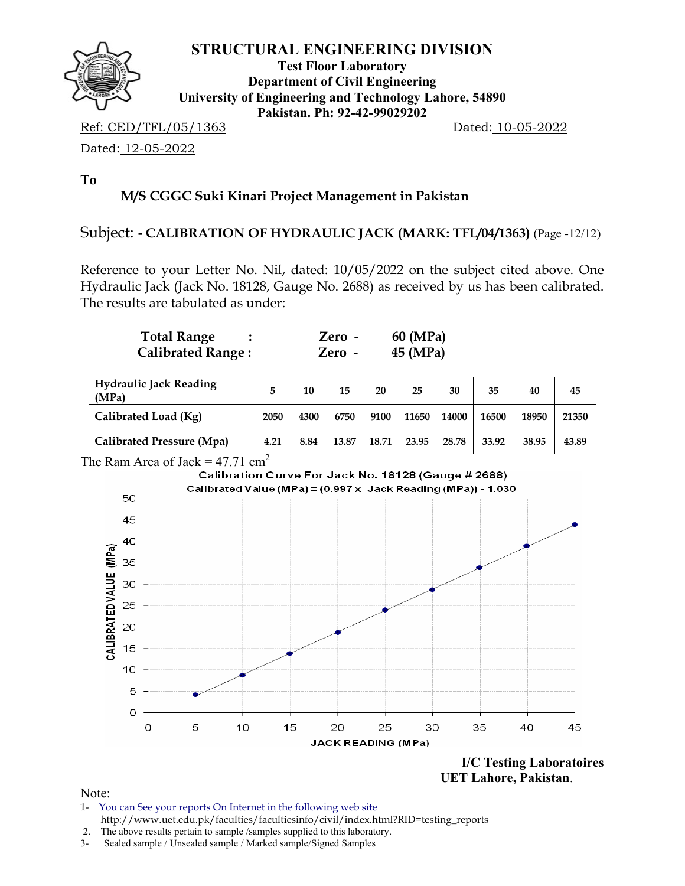

**Test Floor Laboratory Department of Civil Engineering University of Engineering and Technology Lahore, 54890 Pakistan. Ph: 92-42-99029202** 

Ref: CED/TFL/05/1363 Dated: 10-05-2022

Dated: 12-05-2022

**To** 

# **M/S CGGC Suki Kinari Project Management in Pakistan**

#### Subject: **- CALIBRATION OF HYDRAULIC JACK (MARK: TFL/04/1363)** (Page -12/12)

Reference to your Letter No. Nil, dated: 10/05/2022 on the subject cited above. One Hydraulic Jack (Jack No. 18128, Gauge No. 2688) as received by us has been calibrated. The results are tabulated as under:

| <b>Total Range</b>       | $Zero -$ | 60 (MPa) |
|--------------------------|----------|----------|
| <b>Calibrated Range:</b> | Zero -   | 45 (MPa) |

| <b>Hydraulic Jack Reading</b><br>(MPa) |      | 10   | 15    | 20    | 25    | 30    | 35    | 40    | 45    |
|----------------------------------------|------|------|-------|-------|-------|-------|-------|-------|-------|
| Calibrated Load (Kg)                   | 2050 | 4300 | 6750  | 9100  | 11650 | 14000 | 16500 | 18950 | 21350 |
| Calibrated Pressure (Mpa)              | 4.21 | 8.84 | 13.87 | 18.71 | 23.95 | 28.78 | 33.92 | 38.95 | 43.89 |



**I/C Testing Laboratoires UET Lahore, Pakistan**.

- 1- You can See your reports On Internet in the following web site http://www.uet.edu.pk/faculties/facultiesinfo/civil/index.html?RID=testing\_reports
- 2. The above results pertain to sample /samples supplied to this laboratory.
- 3- Sealed sample / Unsealed sample / Marked sample/Signed Samples